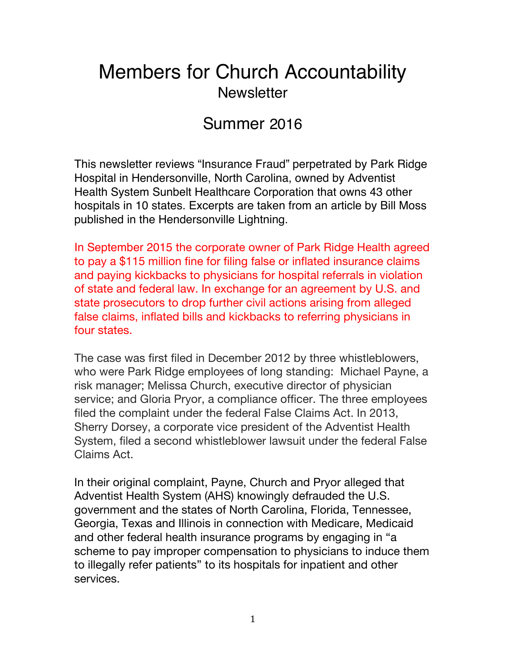## Members for Church Accountability **Newsletter**

## Summer 2016

This newsletter reviews "Insurance Fraud" perpetrated by Park Ridge Hospital in Hendersonville, North Carolina, owned by Adventist Health System Sunbelt Healthcare Corporation that owns 43 other hospitals in 10 states. Excerpts are taken from an article by Bill Moss published in the Hendersonville Lightning.

In September 2015 the corporate owner of Park Ridge Health agreed to pay a \$115 million fine for filing false or inflated insurance claims and paying kickbacks to physicians for hospital referrals in violation of state and federal law. In exchange for an agreement by U.S. and state prosecutors to drop further civil actions arising from alleged false claims, inflated bills and kickbacks to referring physicians in four states.

The case was first filed in December 2012 by three whistleblowers, who were Park Ridge employees of long standing: Michael Payne, a risk manager; Melissa Church, executive director of physician service; and Gloria Pryor, a compliance officer. The three employees filed the complaint under the federal False Claims Act. In 2013, Sherry Dorsey, a corporate vice president of the Adventist Health System, filed a second whistleblower lawsuit under the federal False Claims Act.

In their original complaint, Payne, Church and Pryor alleged that Adventist Health System (AHS) knowingly defrauded the U.S. government and the states of North Carolina, Florida, Tennessee, Georgia, Texas and Illinois in connection with Medicare, Medicaid and other federal health insurance programs by engaging in "a scheme to pay improper compensation to physicians to induce them to illegally refer patients" to its hospitals for inpatient and other services.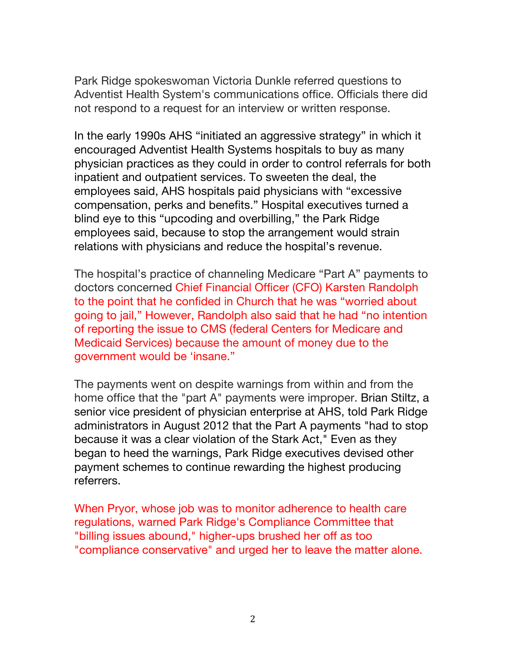Park Ridge spokeswoman Victoria Dunkle referred questions to Adventist Health System's communications office. Officials there did not respond to a request for an interview or written response.

In the early 1990s AHS "initiated an aggressive strategy" in which it encouraged Adventist Health Systems hospitals to buy as many physician practices as they could in order to control referrals for both inpatient and outpatient services. To sweeten the deal, the employees said, AHS hospitals paid physicians with "excessive compensation, perks and benefits." Hospital executives turned a blind eye to this "upcoding and overbilling," the Park Ridge employees said, because to stop the arrangement would strain relations with physicians and reduce the hospital's revenue.

The hospital's practice of channeling Medicare "Part A" payments to doctors concerned Chief Financial Officer (CFO) Karsten Randolph to the point that he confided in Church that he was "worried about going to jail," However, Randolph also said that he had "no intention of reporting the issue to CMS (federal Centers for Medicare and Medicaid Services) because the amount of money due to the government would be 'insane."

The payments went on despite warnings from within and from the home office that the "part A" payments were improper. Brian Stiltz, a senior vice president of physician enterprise at AHS, told Park Ridge administrators in August 2012 that the Part A payments "had to stop because it was a clear violation of the Stark Act," Even as they began to heed the warnings, Park Ridge executives devised other payment schemes to continue rewarding the highest producing referrers.

When Pryor, whose job was to monitor adherence to health care regulations, warned Park Ridge's Compliance Committee that "billing issues abound," higher-ups brushed her off as too "compliance conservative" and urged her to leave the matter alone.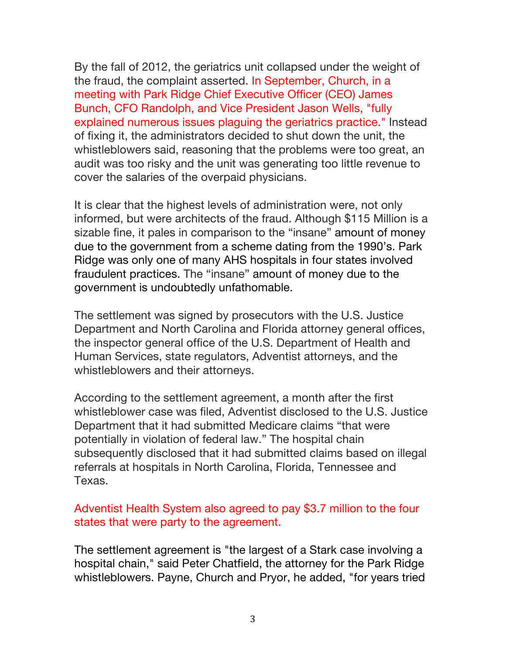By the fall of 2012, the geriatrics unit collapsed under the weight of the fraud, the complaint asserted. In September, Church, in a meeting with Park Ridge Chief Executive Officer (CEO) James Bunch, CFO Randolph, and Vice President Jason Wells, "fully explained numerous issues plaguing the geriatrics practice." Instead of fixing it, the administrators decided to shut down the unit, the whistleblowers said, reasoning that the problems were too great, an audit was too risky and the unit was generating too little revenue to cover the salaries of the overpaid physicians.

It is clear that the highest levels of administration were, not only informed, but were architects of the fraud. Although \$115 Million is a sizable fine, it pales in comparison to the "insane" amount of money due to the government from a scheme dating from the 1990's. Park Ridge was only one of many AHS hospitals in four states involved fraudulent practices. The "insane" amount of money due to the government is undoubtedly unfathomable.

The settlement was signed by prosecutors with the U.S. Justice Department and North Carolina and Florida attorney general offices, the inspector general office of the U.S. Department of Health and Human Services, state regulators, Adventist attorneys, and the whistleblowers and their attorneys.

According to the settlement agreement, a month after the first whistleblower case was filed, Adventist disclosed to the U.S. Justice Department that it had submitted Medicare claims "that were potentially in violation of federal law." The hospital chain subsequently disclosed that it had submitted claims based on illegal referrals at hospitals in North Carolina, Florida, Tennessee and Texas.

## Adventist Health System also agreed to pay \$3.7 million to the four states that were party to the agreement.

The settlement agreement is "the largest of a Stark case involving a hospital chain," said Peter Chatfield, the attorney for the Park Ridge whistleblowers. Payne, Church and Pryor, he added, "for years tried